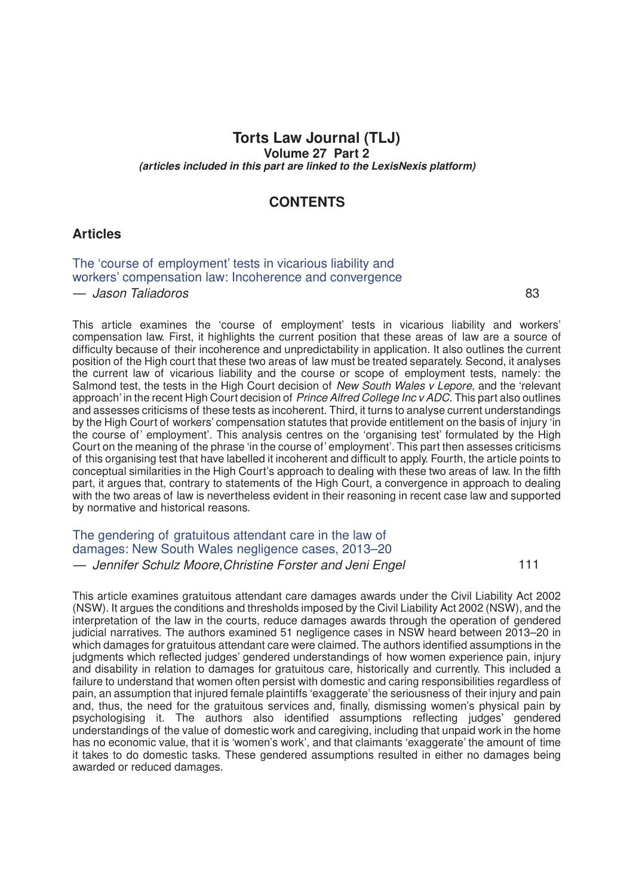## **Torts Law Journal (TLJ) Volume 27 Part 2** *(articles included in this part are linked to the LexisNexis platform)*

## **CONTENTS**

#### **Articles**

[The 'course of employment' tests in vicarious liability and](http://advance.lexis.com/api/document?idtype=DOC-ID&id=005R-27TLJ83) [workers' compensation law: Incoherence and convergence](http://advance.lexis.com/api/document?idtype=DOC-ID&id=005R-27TLJ83)

*— Jason Taliadoros* 83

This article examines the 'course of employment' tests in vicarious liability and workers' compensation law. First, it highlights the current position that these areas of law are a source of difficulty because of their incoherence and unpredictability in application. It also outlines the current position of the High court that these two areas of law must be treated separately. Second, it analyses the current law of vicarious liability and the course or scope of employment tests, namely: the Salmond test, the tests in the High Court decision of *New South Wales v Lepore*, and the 'relevant approach' in the recent High Court decision of *Prince Alfred College Inc v ADC*. This part also outlines and assesses criticisms of these tests as incoherent. Third, it turns to analyse current understandings by the High Court of workers' compensation statutes that provide entitlement on the basis of injury 'in the course of' employment'. This analysis centres on the 'organising test' formulated by the High Court on the meaning of the phrase 'in the course of' employment'. This part then assesses criticisms of this organising test that have labelled it incoherent and difficult to apply. Fourth, the article points to conceptual similarities in the High Court's approach to dealing with these two areas of law. In the fifth part, it argues that, contrary to statements of the High Court, a convergence in approach to dealing with the two areas of law is nevertheless evident in their reasoning in recent case law and supported by normative and historical reasons.

### The [gendering](http://advance.lexis.com/api/document?idtype=DOC-ID&id=005R-27TLJ111) of gratuitous attendant care in the law of damages: New South Wales [negligence](http://advance.lexis.com/api/document?idtype=DOC-ID&id=005R-27TLJ111) cases, 2013–20 *— Jennifer Schulz Moore,Christine Forster and Jeni Engel* 111

This article examines gratuitous attendant care damages awards under the Civil Liability Act 2002 (NSW). It argues the conditions and thresholds imposed by the Civil Liability Act 2002 (NSW), and the interpretation of the law in the courts, reduce damages awards through the operation of gendered judicial narratives. The authors examined 51 negligence cases in NSW heard between 2013–20 in which damages for gratuitous attendant care were claimed. The authors identified assumptions in the judgments which reflected judges' gendered understandings of how women experience pain, injury and disability in relation to damages for gratuitous care, historically and currently. This included a failure to understand that women often persist with domestic and caring responsibilities regardless of pain, an assumption that injured female plaintiffs 'exaggerate' the seriousness of their injury and pain and, thus, the need for the gratuitous services and, finally, dismissing women's physical pain by psychologising it. The authors also identified assumptions reflecting judges' gendered understandings of the value of domestic work and caregiving, including that unpaid work in the home has no economic value, that it is 'women's work', and that claimants 'exaggerate' the amount of time it takes to do domestic tasks. These gendered assumptions resulted in either no damages being awarded or reduced damages.